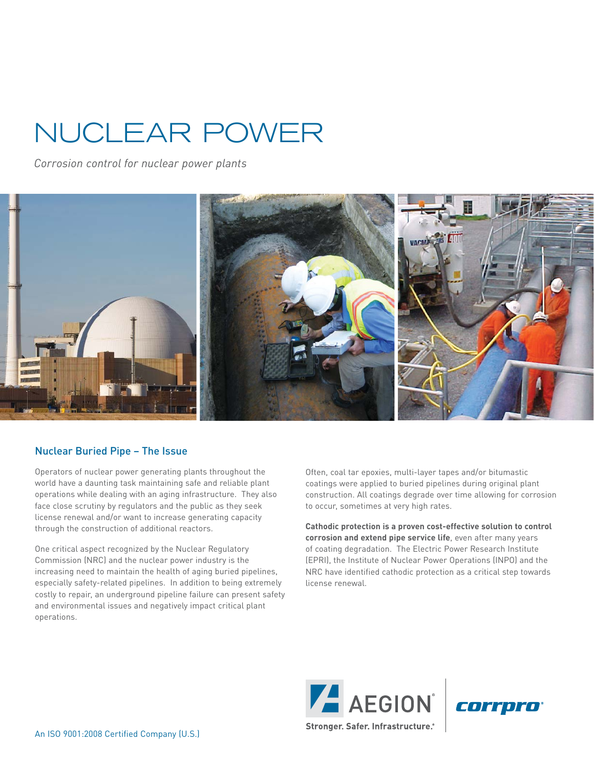# NUCLEAR POWER

*Corrosion control for nuclear power plants*



#### Nuclear Buried Pipe − The Issue

Operators of nuclear power generating plants throughout the world have a daunting task maintaining safe and reliable plant operations while dealing with an aging infrastructure. They also face close scrutiny by regulators and the public as they seek license renewal and/or want to increase generating capacity through the construction of additional reactors.

One critical aspect recognized by the Nuclear Regulatory Commission (NRC) and the nuclear power industry is the increasing need to maintain the health of aging buried pipelines, especially safety-related pipelines. In addition to being extremely costly to repair, an underground pipeline failure can present safety and environmental issues and negatively impact critical plant operations.

Often, coal tar epoxies, multi-layer tapes and/or bitumastic coatings were applied to buried pipelines during original plant construction. All coatings degrade over time allowing for corrosion to occur, sometimes at very high rates.

**Cathodic protection is a proven cost-effective solution to control corrosion and extend pipe service life**, even after many years of coating degradation. The Electric Power Research Institute (EPRI), the Institute of Nuclear Power Operations (INPO) and the NRC have identified cathodic protection as a critical step towards license renewal.